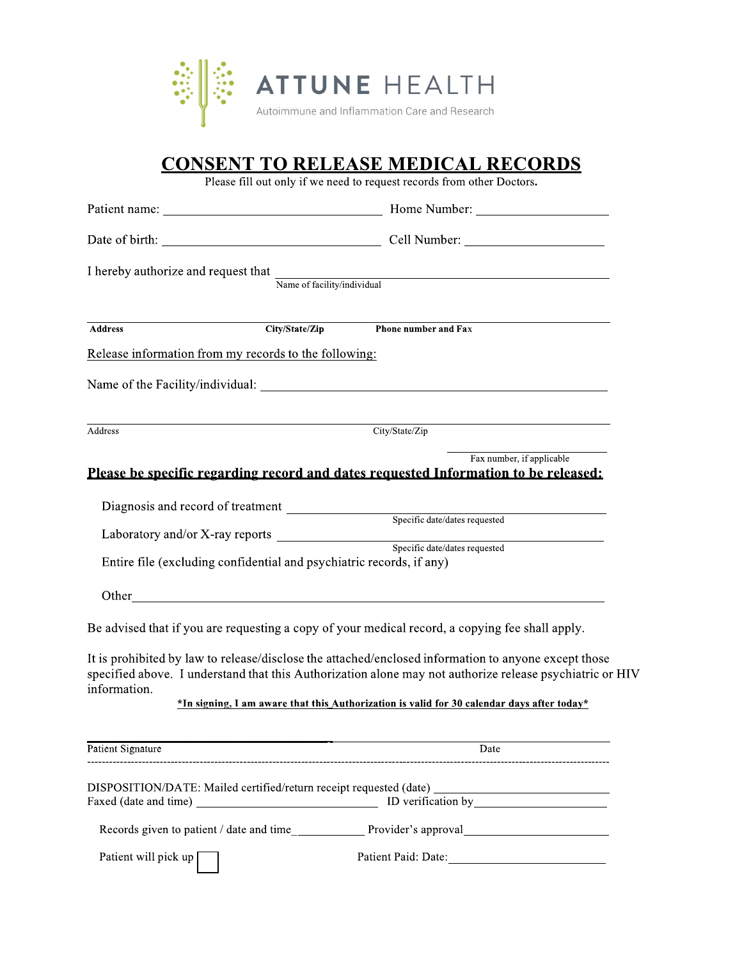

## **CONSENT TO RELEASE MEDICAL RECORDS**

Please fill out only if we need to request records from other Doctors.

| I hereby authorize and request that                                  |                | Name of facility/individual                                                                                                                                                                                                                                                                          |
|----------------------------------------------------------------------|----------------|------------------------------------------------------------------------------------------------------------------------------------------------------------------------------------------------------------------------------------------------------------------------------------------------------|
| <b>Address</b>                                                       | City/State/Zip | <b>Phone number and Fax</b>                                                                                                                                                                                                                                                                          |
| Release information from my records to the following:                |                |                                                                                                                                                                                                                                                                                                      |
|                                                                      |                |                                                                                                                                                                                                                                                                                                      |
| Address                                                              |                | City/State/Zip                                                                                                                                                                                                                                                                                       |
|                                                                      |                | Fax number, if applicable<br>Please be specific regarding record and dates requested Information to be released:                                                                                                                                                                                     |
| Diagnosis and record of treatment                                    |                | Specific date/dates requested                                                                                                                                                                                                                                                                        |
|                                                                      |                |                                                                                                                                                                                                                                                                                                      |
| Entire file (excluding confidential and psychiatric records, if any) |                |                                                                                                                                                                                                                                                                                                      |
|                                                                      |                |                                                                                                                                                                                                                                                                                                      |
|                                                                      |                | Be advised that if you are requesting a copy of your medical record, a copying fee shall apply.                                                                                                                                                                                                      |
| information.                                                         |                | It is prohibited by law to release/disclose the attached/enclosed information to anyone except those<br>specified above. I understand that this Authorization alone may not authorize release psychiatric or HIV                                                                                     |
|                                                                      |                | *In signing, I am aware that this Authorization is valid for 30 calendar days after today*                                                                                                                                                                                                           |
| Patient Signature                                                    |                | Date                                                                                                                                                                                                                                                                                                 |
|                                                                      |                | DISPOSITION/DATE: Mailed certified/return receipt requested (date)<br>ID verification by 100 million control of the state of the state of the state of the state of the state of the state of the state of the state of the state of the state of the state of the state of the state of the state o |
|                                                                      |                |                                                                                                                                                                                                                                                                                                      |
| Patient will pick up [                                               |                |                                                                                                                                                                                                                                                                                                      |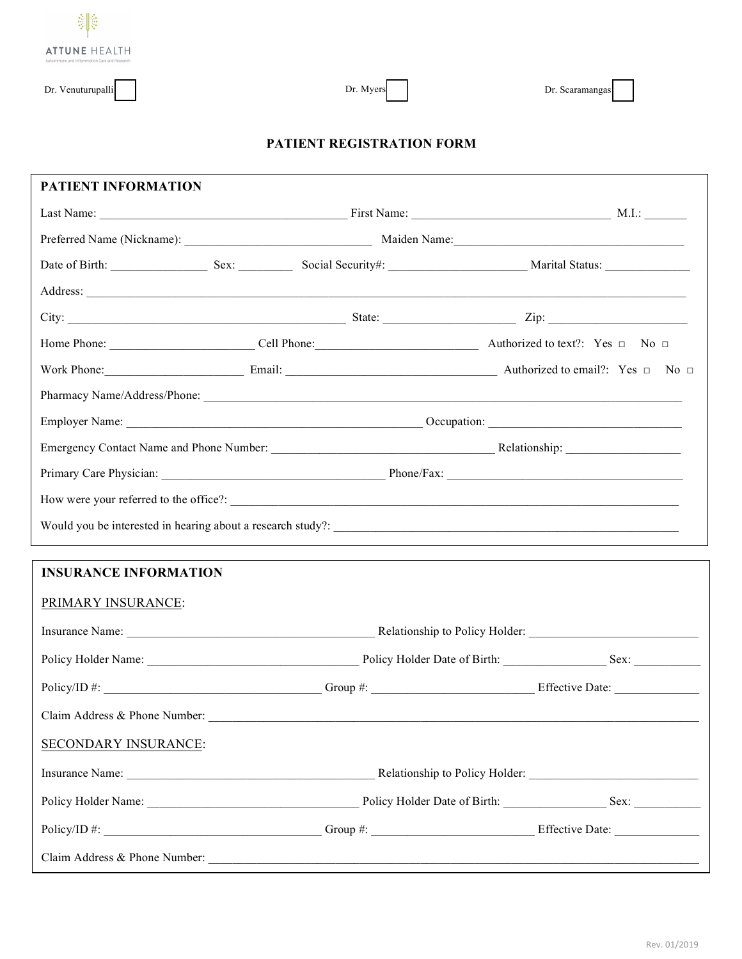

Dr. Myers

## **PATIENT REGISTRATION FORM**

| PATIENT INFORMATION                                                                                                         |                                                                                                                  |                                                                                                              |
|-----------------------------------------------------------------------------------------------------------------------------|------------------------------------------------------------------------------------------------------------------|--------------------------------------------------------------------------------------------------------------|
|                                                                                                                             |                                                                                                                  |                                                                                                              |
|                                                                                                                             |                                                                                                                  |                                                                                                              |
| Date of Birth: Sex: Sex: Social Security#: Marital Status: Marital Status:                                                  |                                                                                                                  |                                                                                                              |
| Address: <u>Address and the contract of the contract of the contract of the contract of the contract of the contract of</u> |                                                                                                                  |                                                                                                              |
|                                                                                                                             |                                                                                                                  |                                                                                                              |
|                                                                                                                             |                                                                                                                  |                                                                                                              |
|                                                                                                                             |                                                                                                                  | Work Phone: $\qquad \qquad$ No $\Box$ Email: $\Box$ Email: $\Box$ Authorized to email?: Yes $\Box$ No $\Box$ |
|                                                                                                                             |                                                                                                                  |                                                                                                              |
|                                                                                                                             |                                                                                                                  |                                                                                                              |
|                                                                                                                             |                                                                                                                  |                                                                                                              |
|                                                                                                                             |                                                                                                                  |                                                                                                              |
|                                                                                                                             |                                                                                                                  |                                                                                                              |
|                                                                                                                             |                                                                                                                  |                                                                                                              |
|                                                                                                                             | and the control of the control of the control of the control of the control of the control of the control of the |                                                                                                              |
| <b>INSURANCE INFORMATION</b>                                                                                                |                                                                                                                  |                                                                                                              |
| PRIMARY INSURANCE:                                                                                                          |                                                                                                                  |                                                                                                              |
|                                                                                                                             |                                                                                                                  |                                                                                                              |
|                                                                                                                             |                                                                                                                  |                                                                                                              |
|                                                                                                                             |                                                                                                                  |                                                                                                              |
|                                                                                                                             |                                                                                                                  |                                                                                                              |
|                                                                                                                             |                                                                                                                  |                                                                                                              |
| SECONDARY INSURANCE:                                                                                                        |                                                                                                                  |                                                                                                              |
|                                                                                                                             |                                                                                                                  |                                                                                                              |
|                                                                                                                             |                                                                                                                  |                                                                                                              |
|                                                                                                                             |                                                                                                                  |                                                                                                              |
|                                                                                                                             |                                                                                                                  |                                                                                                              |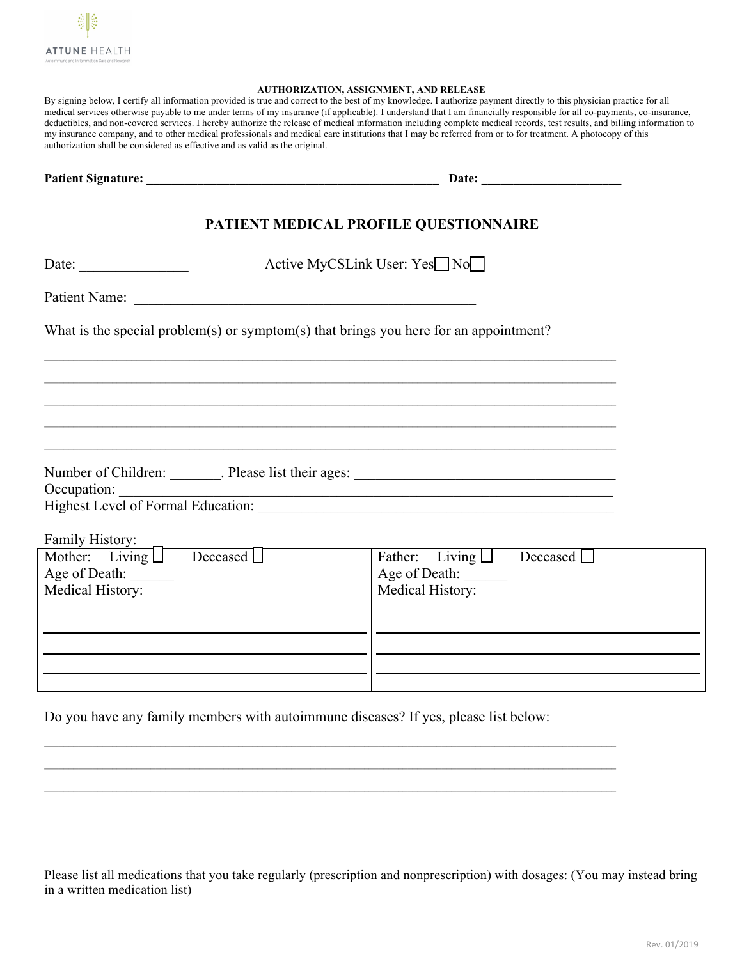

## **AUTHORIZATION, ASSIGNMENT, AND RELEASE**

| By signing below. I certify all information provided is true and correct to the best of my knowledge. I authorize payment directly to this physician practice for all     |
|---------------------------------------------------------------------------------------------------------------------------------------------------------------------------|
| medical services otherwise payable to me under terms of my insurance (if applicable). I understand that I am financially responsible for all co-payments, co-insurance,   |
| deductibles, and non-covered services. I hereby authorize the release of medical information including complete medical records, test results, and billing information to |
| my insurance company, and to other medical professionals and medical care institutions that I may be referred from or to for treatment. A photocopy of this               |
| authorization shall be considered as effective and as valid as the original.                                                                                              |

|                                                          | PATIENT MEDICAL PROFILE QUESTIONNAIRE                                                 |  |
|----------------------------------------------------------|---------------------------------------------------------------------------------------|--|
| Date: $\frac{1}{\sqrt{1-\frac{1}{2}} \cdot \frac{1}{2}}$ | Active MyCSLink User: Yes□ No                                                         |  |
|                                                          |                                                                                       |  |
|                                                          | What is the special problem(s) or symptom(s) that brings you here for an appointment? |  |
|                                                          |                                                                                       |  |
|                                                          | ,我们也不能在这里的时候,我们也不能在这里的时候,我们也不能会在这里的时候,我们也不能会在这里的时候,我们也不能会在这里的时候,我们也不能会在这里的时候,我们也不     |  |
|                                                          |                                                                                       |  |
|                                                          |                                                                                       |  |
|                                                          |                                                                                       |  |
|                                                          | Occupation:                                                                           |  |
| Family History:                                          |                                                                                       |  |
| Mother: Living Deceased                                  | Father: Living $\Box$ Deceased $\Box$                                                 |  |
| Age of Death:                                            | Age of Death:                                                                         |  |
| Medical History:                                         | Medical History:                                                                      |  |
|                                                          |                                                                                       |  |
|                                                          |                                                                                       |  |
|                                                          |                                                                                       |  |
|                                                          |                                                                                       |  |

Do you have any family members with autoimmune diseases? If yes, please list below:

Please list all medications that you take regularly (prescription and nonprescription) with dosages: (You may instead bring in a written medication list)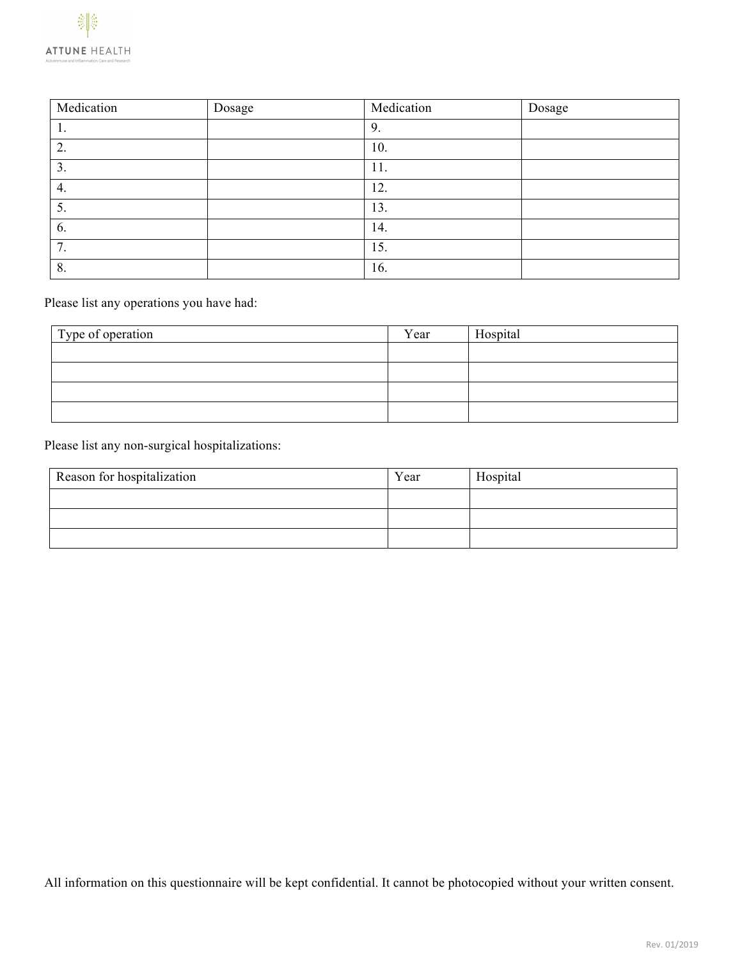| Medication | Dosage | Medication | Dosage |
|------------|--------|------------|--------|
|            |        | 9.         |        |
| 2.         |        | 10.        |        |
| 3.         |        | 11.        |        |
| 4.         |        | 12.        |        |
| 5.         |        | 13.        |        |
| 6.         |        | 14.        |        |
| 7.         |        | 15.        |        |
| 8.         |        | 16.        |        |

Please list any operations you have had:

| Type of operation | Year | Hospital |
|-------------------|------|----------|
|                   |      |          |
|                   |      |          |
|                   |      |          |
|                   |      |          |

Please list any non-surgical hospitalizations:

| Reason for hospitalization | Year | Hospital |
|----------------------------|------|----------|
|                            |      |          |
|                            |      |          |
|                            |      |          |

All information on this questionnaire will be kept confidential. It cannot be photocopied without your written consent.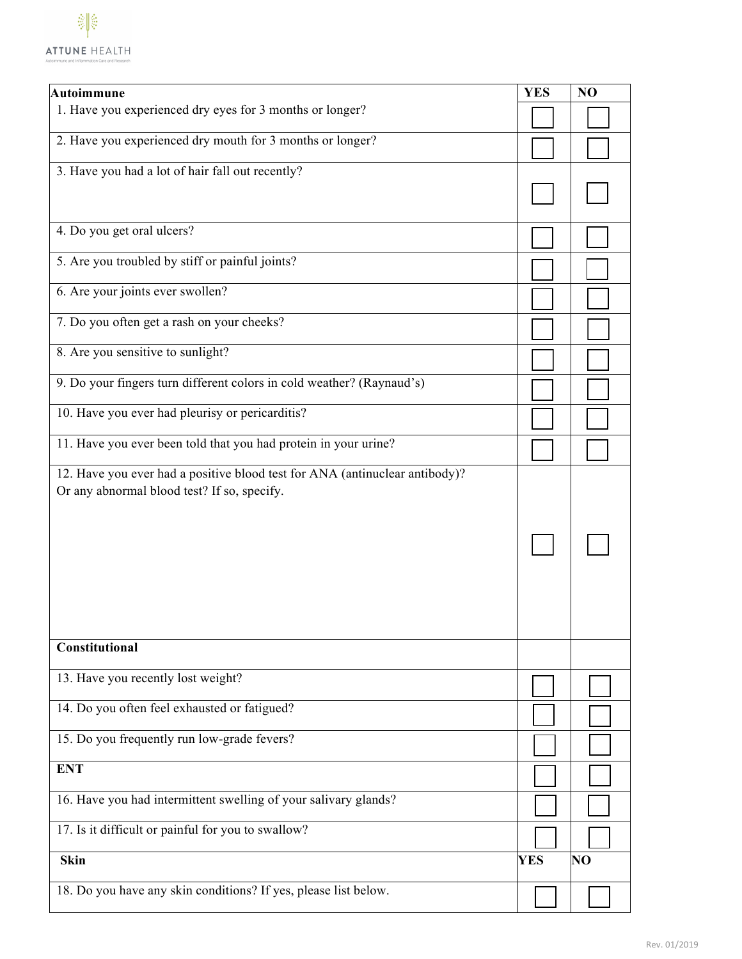

| Autoimmune                                                                                                                 | <b>YES</b> | NO              |
|----------------------------------------------------------------------------------------------------------------------------|------------|-----------------|
| 1. Have you experienced dry eyes for 3 months or longer?                                                                   |            |                 |
| 2. Have you experienced dry mouth for 3 months or longer?                                                                  |            |                 |
| 3. Have you had a lot of hair fall out recently?                                                                           |            |                 |
|                                                                                                                            |            |                 |
| 4. Do you get oral ulcers?                                                                                                 |            |                 |
| 5. Are you troubled by stiff or painful joints?                                                                            |            |                 |
| 6. Are your joints ever swollen?                                                                                           |            |                 |
| 7. Do you often get a rash on your cheeks?                                                                                 |            |                 |
| 8. Are you sensitive to sunlight?                                                                                          |            |                 |
| 9. Do your fingers turn different colors in cold weather? (Raynaud's)                                                      |            |                 |
| 10. Have you ever had pleurisy or pericarditis?                                                                            |            |                 |
| 11. Have you ever been told that you had protein in your urine?                                                            |            |                 |
| 12. Have you ever had a positive blood test for ANA (antinuclear antibody)?<br>Or any abnormal blood test? If so, specify. |            |                 |
| Constitutional                                                                                                             |            |                 |
| 13. Have you recently lost weight?                                                                                         |            |                 |
| 14. Do you often feel exhausted or fatigued?                                                                               |            |                 |
| 15. Do you frequently run low-grade fevers?                                                                                |            |                 |
| <b>ENT</b>                                                                                                                 |            |                 |
| 16. Have you had intermittent swelling of your salivary glands?                                                            |            |                 |
| 17. Is it difficult or painful for you to swallow?                                                                         |            |                 |
| <b>Skin</b>                                                                                                                | <b>YES</b> | NO <sub>1</sub> |
| 18. Do you have any skin conditions? If yes, please list below.                                                            |            |                 |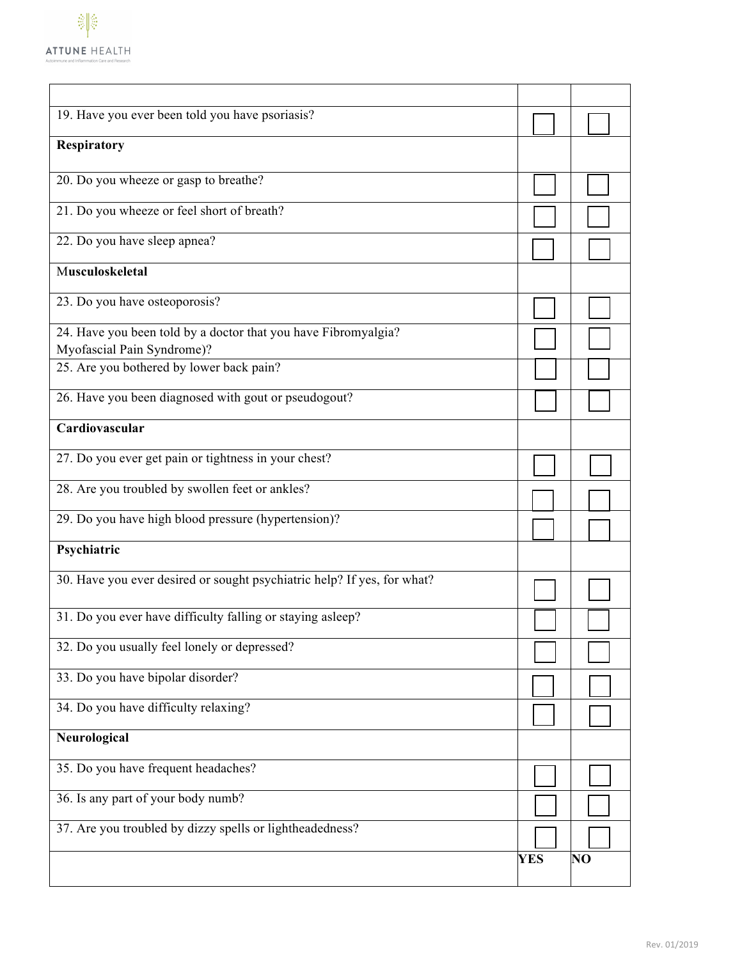

| 19. Have you ever been told you have psoriasis?<br><b>Respiratory</b><br>20. Do you wheeze or gasp to breathe?<br>21. Do you wheeze or feel short of breath?<br>22. Do you have sleep apnea?<br>Musculoskeletal<br>23. Do you have osteoporosis?<br>24. Have you been told by a doctor that you have Fibromyalgia?<br>Myofascial Pain Syndrome)?<br>25. Are you bothered by lower back pain?<br>26. Have you been diagnosed with gout or pseudogout?<br>Cardiovascular<br>27. Do you ever get pain or tightness in your chest?<br>28. Are you troubled by swollen feet or ankles?<br>29. Do you have high blood pressure (hypertension)?<br>Psychiatric<br>30. Have you ever desired or sought psychiatric help? If yes, for what?<br>31. Do you ever have difficulty falling or staying asleep?<br>32. Do you usually feel lonely or depressed?<br>33. Do you have bipolar disorder?<br>34. Do you have difficulty relaxing?<br>Neurological<br>35. Do you have frequent headaches?<br>36. Is any part of your body numb?<br>37. Are you troubled by dizzy spells or lightheadedness?<br><b>YES</b><br>NO |  |  |
|------------------------------------------------------------------------------------------------------------------------------------------------------------------------------------------------------------------------------------------------------------------------------------------------------------------------------------------------------------------------------------------------------------------------------------------------------------------------------------------------------------------------------------------------------------------------------------------------------------------------------------------------------------------------------------------------------------------------------------------------------------------------------------------------------------------------------------------------------------------------------------------------------------------------------------------------------------------------------------------------------------------------------------------------------------------------------------------------------------|--|--|
|                                                                                                                                                                                                                                                                                                                                                                                                                                                                                                                                                                                                                                                                                                                                                                                                                                                                                                                                                                                                                                                                                                            |  |  |
|                                                                                                                                                                                                                                                                                                                                                                                                                                                                                                                                                                                                                                                                                                                                                                                                                                                                                                                                                                                                                                                                                                            |  |  |
|                                                                                                                                                                                                                                                                                                                                                                                                                                                                                                                                                                                                                                                                                                                                                                                                                                                                                                                                                                                                                                                                                                            |  |  |
|                                                                                                                                                                                                                                                                                                                                                                                                                                                                                                                                                                                                                                                                                                                                                                                                                                                                                                                                                                                                                                                                                                            |  |  |
|                                                                                                                                                                                                                                                                                                                                                                                                                                                                                                                                                                                                                                                                                                                                                                                                                                                                                                                                                                                                                                                                                                            |  |  |
|                                                                                                                                                                                                                                                                                                                                                                                                                                                                                                                                                                                                                                                                                                                                                                                                                                                                                                                                                                                                                                                                                                            |  |  |
|                                                                                                                                                                                                                                                                                                                                                                                                                                                                                                                                                                                                                                                                                                                                                                                                                                                                                                                                                                                                                                                                                                            |  |  |
|                                                                                                                                                                                                                                                                                                                                                                                                                                                                                                                                                                                                                                                                                                                                                                                                                                                                                                                                                                                                                                                                                                            |  |  |
|                                                                                                                                                                                                                                                                                                                                                                                                                                                                                                                                                                                                                                                                                                                                                                                                                                                                                                                                                                                                                                                                                                            |  |  |
|                                                                                                                                                                                                                                                                                                                                                                                                                                                                                                                                                                                                                                                                                                                                                                                                                                                                                                                                                                                                                                                                                                            |  |  |
|                                                                                                                                                                                                                                                                                                                                                                                                                                                                                                                                                                                                                                                                                                                                                                                                                                                                                                                                                                                                                                                                                                            |  |  |
|                                                                                                                                                                                                                                                                                                                                                                                                                                                                                                                                                                                                                                                                                                                                                                                                                                                                                                                                                                                                                                                                                                            |  |  |
|                                                                                                                                                                                                                                                                                                                                                                                                                                                                                                                                                                                                                                                                                                                                                                                                                                                                                                                                                                                                                                                                                                            |  |  |
|                                                                                                                                                                                                                                                                                                                                                                                                                                                                                                                                                                                                                                                                                                                                                                                                                                                                                                                                                                                                                                                                                                            |  |  |
|                                                                                                                                                                                                                                                                                                                                                                                                                                                                                                                                                                                                                                                                                                                                                                                                                                                                                                                                                                                                                                                                                                            |  |  |
|                                                                                                                                                                                                                                                                                                                                                                                                                                                                                                                                                                                                                                                                                                                                                                                                                                                                                                                                                                                                                                                                                                            |  |  |
|                                                                                                                                                                                                                                                                                                                                                                                                                                                                                                                                                                                                                                                                                                                                                                                                                                                                                                                                                                                                                                                                                                            |  |  |
|                                                                                                                                                                                                                                                                                                                                                                                                                                                                                                                                                                                                                                                                                                                                                                                                                                                                                                                                                                                                                                                                                                            |  |  |
|                                                                                                                                                                                                                                                                                                                                                                                                                                                                                                                                                                                                                                                                                                                                                                                                                                                                                                                                                                                                                                                                                                            |  |  |
|                                                                                                                                                                                                                                                                                                                                                                                                                                                                                                                                                                                                                                                                                                                                                                                                                                                                                                                                                                                                                                                                                                            |  |  |
|                                                                                                                                                                                                                                                                                                                                                                                                                                                                                                                                                                                                                                                                                                                                                                                                                                                                                                                                                                                                                                                                                                            |  |  |
|                                                                                                                                                                                                                                                                                                                                                                                                                                                                                                                                                                                                                                                                                                                                                                                                                                                                                                                                                                                                                                                                                                            |  |  |
|                                                                                                                                                                                                                                                                                                                                                                                                                                                                                                                                                                                                                                                                                                                                                                                                                                                                                                                                                                                                                                                                                                            |  |  |
|                                                                                                                                                                                                                                                                                                                                                                                                                                                                                                                                                                                                                                                                                                                                                                                                                                                                                                                                                                                                                                                                                                            |  |  |
|                                                                                                                                                                                                                                                                                                                                                                                                                                                                                                                                                                                                                                                                                                                                                                                                                                                                                                                                                                                                                                                                                                            |  |  |
|                                                                                                                                                                                                                                                                                                                                                                                                                                                                                                                                                                                                                                                                                                                                                                                                                                                                                                                                                                                                                                                                                                            |  |  |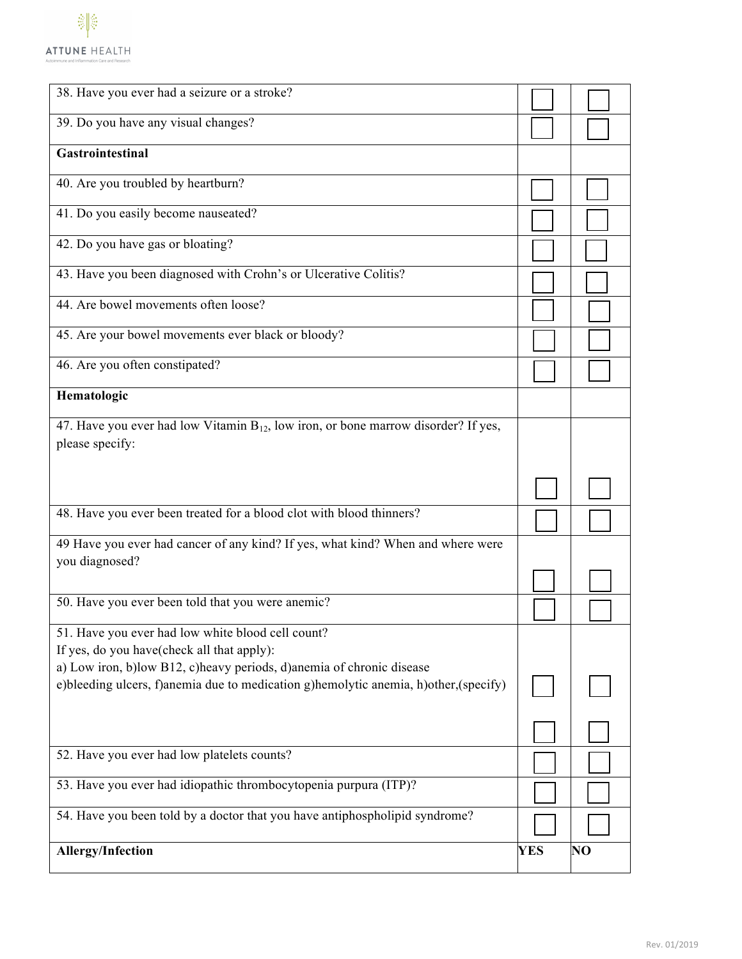

| 38. Have you ever had a seizure or a stroke?                                                               |            |          |
|------------------------------------------------------------------------------------------------------------|------------|----------|
| 39. Do you have any visual changes?                                                                        |            |          |
| Gastrointestinal                                                                                           |            |          |
| 40. Are you troubled by heartburn?                                                                         |            |          |
| 41. Do you easily become nauseated?                                                                        |            |          |
| 42. Do you have gas or bloating?                                                                           |            |          |
| 43. Have you been diagnosed with Crohn's or Ulcerative Colitis?                                            |            |          |
| 44. Are bowel movements often loose?                                                                       |            |          |
| 45. Are your bowel movements ever black or bloody?                                                         |            |          |
| 46. Are you often constipated?                                                                             |            |          |
| Hematologic                                                                                                |            |          |
| 47. Have you ever had low Vitamin $B_{12}$ , low iron, or bone marrow disorder? If yes,<br>please specify: |            |          |
|                                                                                                            |            |          |
|                                                                                                            |            |          |
| 48. Have you ever been treated for a blood clot with blood thinners?                                       |            |          |
| 49 Have you ever had cancer of any kind? If yes, what kind? When and where were<br>you diagnosed?          |            |          |
|                                                                                                            |            |          |
| 50. Have you ever been told that you were anemic?                                                          |            |          |
| 51. Have you ever had low white blood cell count?<br>If yes, do you have(check all that apply):            |            |          |
| a) Low iron, b)low B12, c)heavy periods, d)anemia of chronic disease                                       |            |          |
| e)bleeding ulcers, f)anemia due to medication g)hemolytic anemia, h)other, (specify)                       |            |          |
|                                                                                                            |            |          |
| 52. Have you ever had low platelets counts?                                                                |            |          |
| 53. Have you ever had idiopathic thrombocytopenia purpura (ITP)?                                           |            |          |
| 54. Have you been told by a doctor that you have antiphospholipid syndrome?                                |            |          |
| <b>Allergy/Infection</b>                                                                                   | <b>YES</b> | $\bf NO$ |